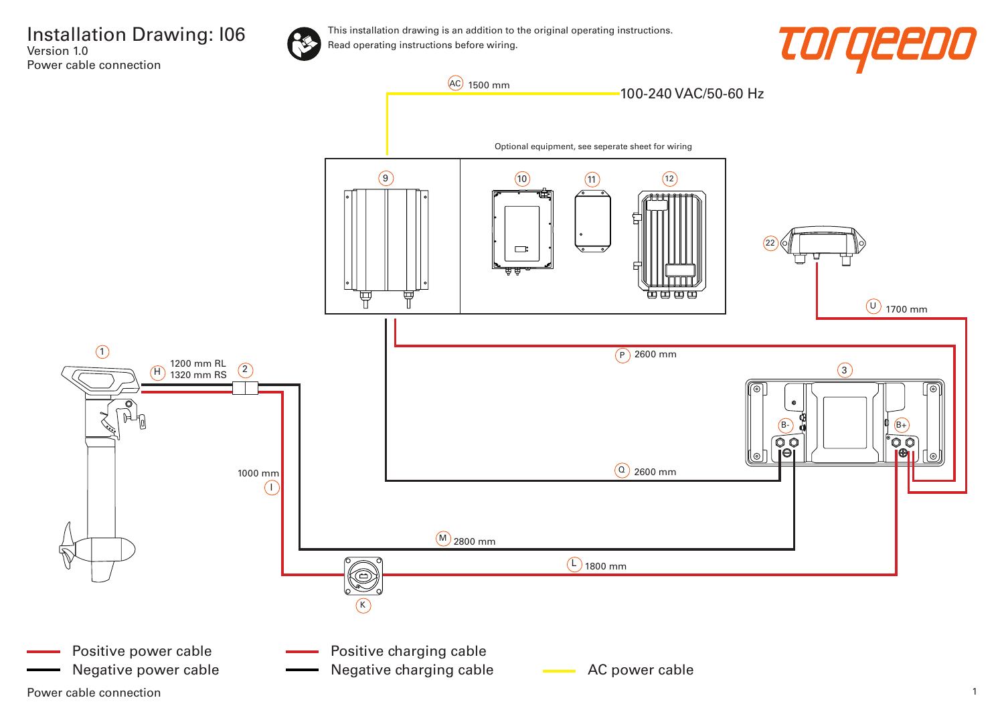

This installation drawing is an addition to the original operating instructions. Read operating instructions before wiring.





Power cable connection 2008 and 2008 and 2008 and 2008 and 2008 and 2008 and 2008 and 2008 and 2008 and 2008 and 2008 and 2008 and 2008 and 2008 and 2008 and 2008 and 2008 and 2008 and 2008 and 2008 and 2008 and 2008 and 2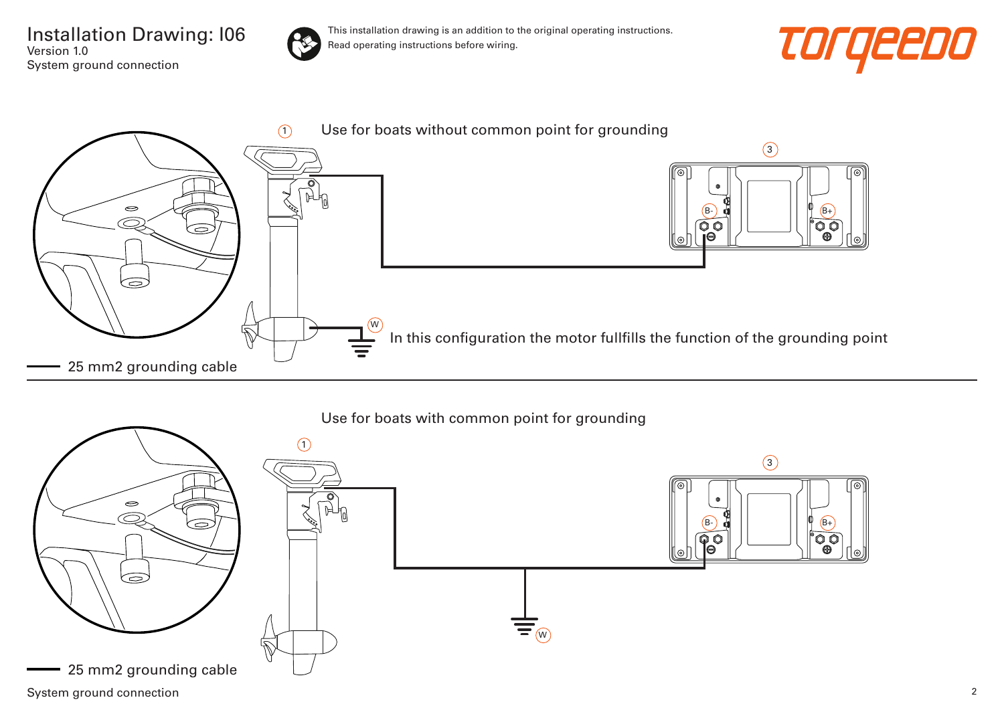Installation Drawing: I06 Version 1.0 System ground connection



This installation drawing is an addition to the original operating instructions. Read operating instructions before wiring.







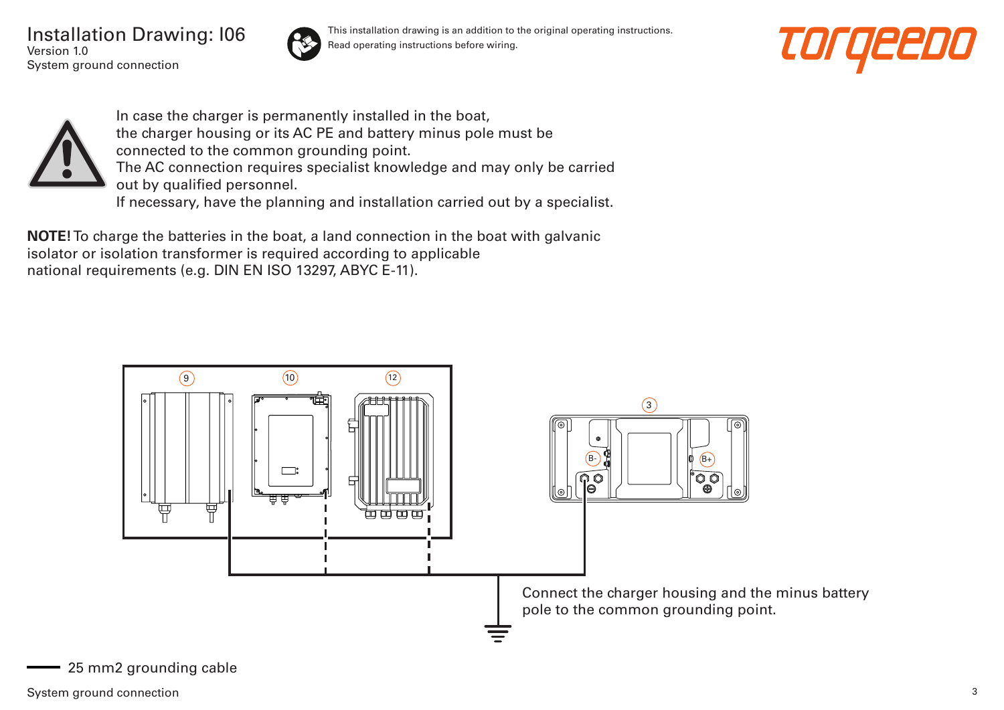Installation Drawing: I06 Version 1.0 System ground connection



This installation drawing is an addition to the original operating instructions. Read operating instructions before wiring.





In case the charger is permanently installed in the boat, the charger housing or its AC PE and battery minus pole must be connected to the common grounding point. The AC connection requires specialist knowledge and may only be carried out by qualified personnel. If necessary, have the planning and installation carried out by a specialist.

**NOTE!** To charge the batteries in the boat, a land connection in the boat with galvanic isolator or isolation transformer is required according to applicable national requirements (e.g. DIN EN ISO 13297, ABYC E-11).

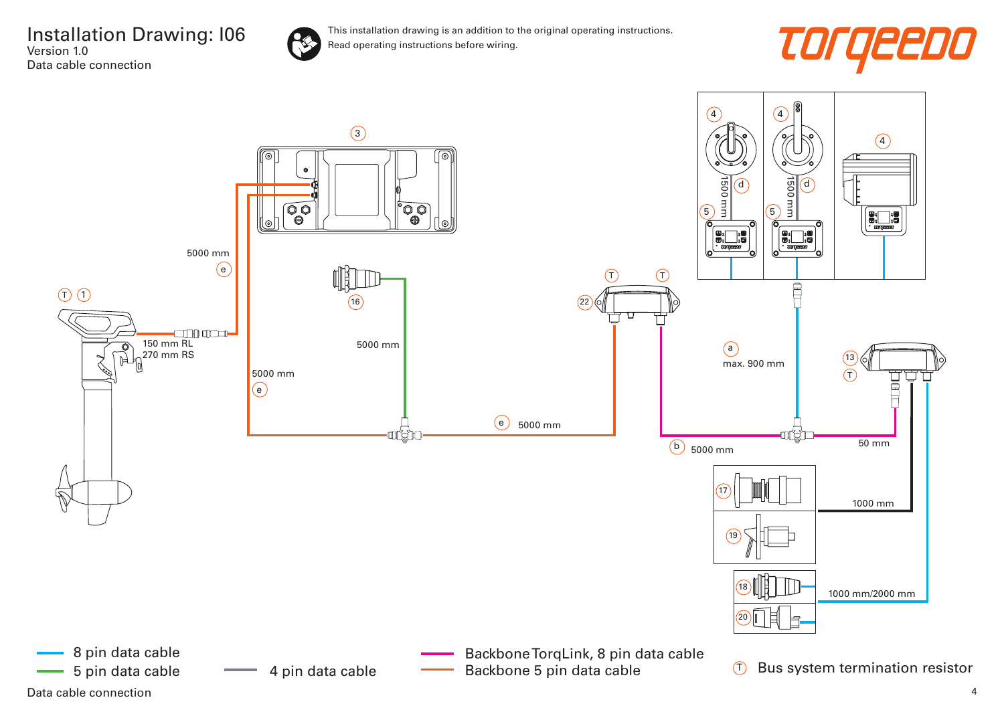

This installation drawing is an addition to the original operating instructions. Read operating instructions before wiring.



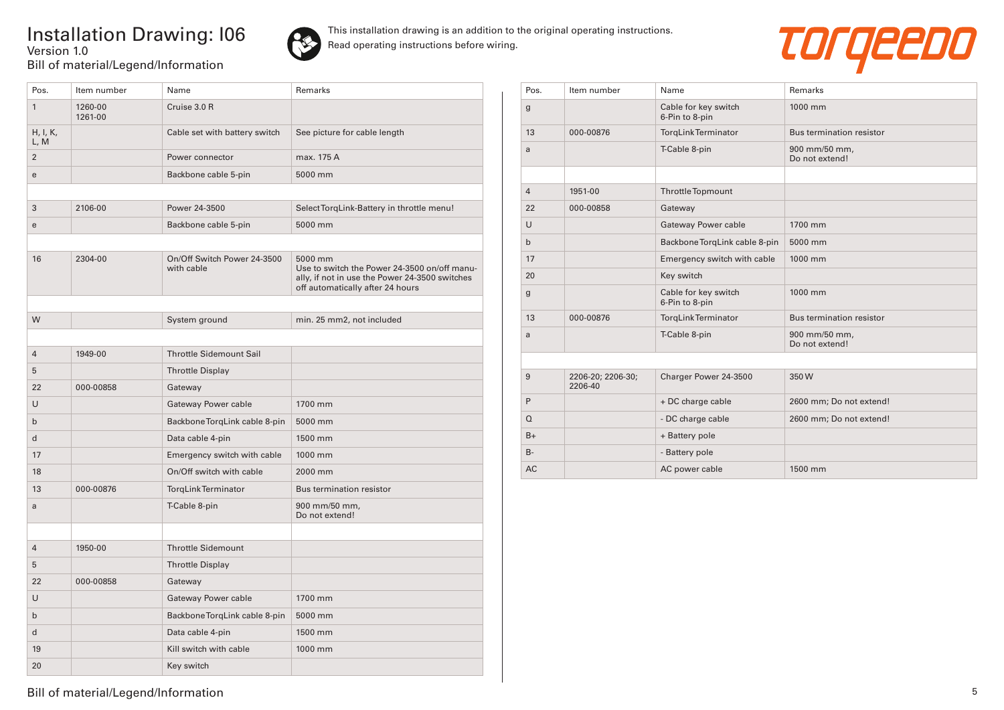## Installation Drawing: I06 Version 1.0 Bill of material/Legend/Information



This installation drawing is an addition to the original operating instructions. Read operating instructions before wiring.



| Pos.             | Item number        | Name                                      | Remarks                                                                                                                                       |
|------------------|--------------------|-------------------------------------------|-----------------------------------------------------------------------------------------------------------------------------------------------|
| $\mathbf{1}$     | 1260-00<br>1261-00 | Cruise 3.0 R                              |                                                                                                                                               |
| H, I, K,<br>L, M |                    | Cable set with battery switch             | See picture for cable length                                                                                                                  |
| $\overline{2}$   |                    | Power connector                           | max. 175 A                                                                                                                                    |
| e                |                    | Backbone cable 5-pin                      | 5000 mm                                                                                                                                       |
|                  |                    |                                           |                                                                                                                                               |
| 3                | 2106-00            | Power 24-3500                             | Select TorgLink-Battery in throttle menu!                                                                                                     |
| e                |                    | Backbone cable 5-pin                      | 5000 mm                                                                                                                                       |
|                  |                    |                                           |                                                                                                                                               |
| 16               | 2304-00            | On/Off Switch Power 24-3500<br>with cable | 5000 mm<br>Use to switch the Power 24-3500 on/off manu-<br>ally, if not in use the Power 24-3500 switches<br>off automatically after 24 hours |
|                  |                    |                                           |                                                                                                                                               |
| W                |                    | System ground                             | min. 25 mm2, not included                                                                                                                     |
|                  |                    |                                           |                                                                                                                                               |
| $\overline{4}$   | 1949-00            | <b>Throttle Sidemount Sail</b>            |                                                                                                                                               |
| 5                |                    | <b>Throttle Display</b>                   |                                                                                                                                               |
| 22               | 000-00858          | Gateway                                   |                                                                                                                                               |
| U                |                    | Gateway Power cable                       | 1700 mm                                                                                                                                       |
| $\mathsf{b}$     |                    | Backbone TorqLink cable 8-pin             | 5000 mm                                                                                                                                       |
| $\mathsf{d}$     |                    | Data cable 4-pin                          | 1500 mm                                                                                                                                       |
| 17               |                    | Emergency switch with cable               | 1000 mm                                                                                                                                       |
| 18               |                    | On/Off switch with cable                  | 2000 mm                                                                                                                                       |
| 13               | 000-00876          | TorqLink Terminator                       | <b>Bus termination resistor</b>                                                                                                               |
| a                |                    | T-Cable 8-pin                             | 900 mm/50 mm,<br>Do not extend!                                                                                                               |
| $\overline{4}$   | 1950-00            | <b>Throttle Sidemount</b>                 |                                                                                                                                               |
| 5                |                    | <b>Throttle Display</b>                   |                                                                                                                                               |
|                  |                    |                                           |                                                                                                                                               |
| 22               | 000-00858          | Gateway                                   |                                                                                                                                               |
| U                |                    | <b>Gateway Power cable</b>                | 1700 mm                                                                                                                                       |
| $\mathsf b$      |                    | Backbone TorqLink cable 8-pin             | 5000 mm                                                                                                                                       |
| d                |                    | Data cable 4-pin                          | 1500 mm                                                                                                                                       |
| 19               |                    | Kill switch with cable                    | 1000 mm                                                                                                                                       |
| 20               |                    | Key switch                                |                                                                                                                                               |

| Pos.           | Item number                  | Name                                   | Remarks                         |
|----------------|------------------------------|----------------------------------------|---------------------------------|
| $\mathsf g$    |                              | Cable for key switch<br>6-Pin to 8-pin | 1000 mm                         |
| 13             | 000-00876                    | TorgLinkTerminator                     | Bus termination resistor        |
| a              |                              | T-Cable 8-pin                          | 900 mm/50 mm,<br>Do not extend! |
|                |                              |                                        |                                 |
| $\overline{4}$ | 1951-00                      | <b>Throttle Topmount</b>               |                                 |
| 22             | 000-00858                    | Gateway                                |                                 |
| U              |                              | Gateway Power cable                    | 1700 mm                         |
| $\mathbf b$    |                              | Backbone TorgLink cable 8-pin          | 5000 mm                         |
| 17             |                              | Emergency switch with cable            | 1000 mm                         |
| 20             |                              | Key switch                             |                                 |
| $\mathbf{g}$   |                              | Cable for key switch<br>6-Pin to 8-pin | 1000 mm                         |
| 13             | 000-00876                    | <b>TorgLinkTerminator</b>              | <b>Bus termination resistor</b> |
| a              |                              | T-Cable 8-pin                          | 900 mm/50 mm,<br>Do not extend! |
|                |                              |                                        |                                 |
| 9              | 2206-20; 2206-30;<br>2206-40 | Charger Power 24-3500                  | 350W                            |
| P              |                              | + DC charge cable                      | 2600 mm; Do not extend!         |
| $\Omega$       |                              | - DC charge cable                      | 2600 mm; Do not extend!         |
| $B+$           |                              | + Battery pole                         |                                 |
| $B -$          |                              | - Battery pole                         |                                 |
| <b>AC</b>      |                              | AC power cable                         | 1500 mm                         |

Bill of material/Legend/Information 5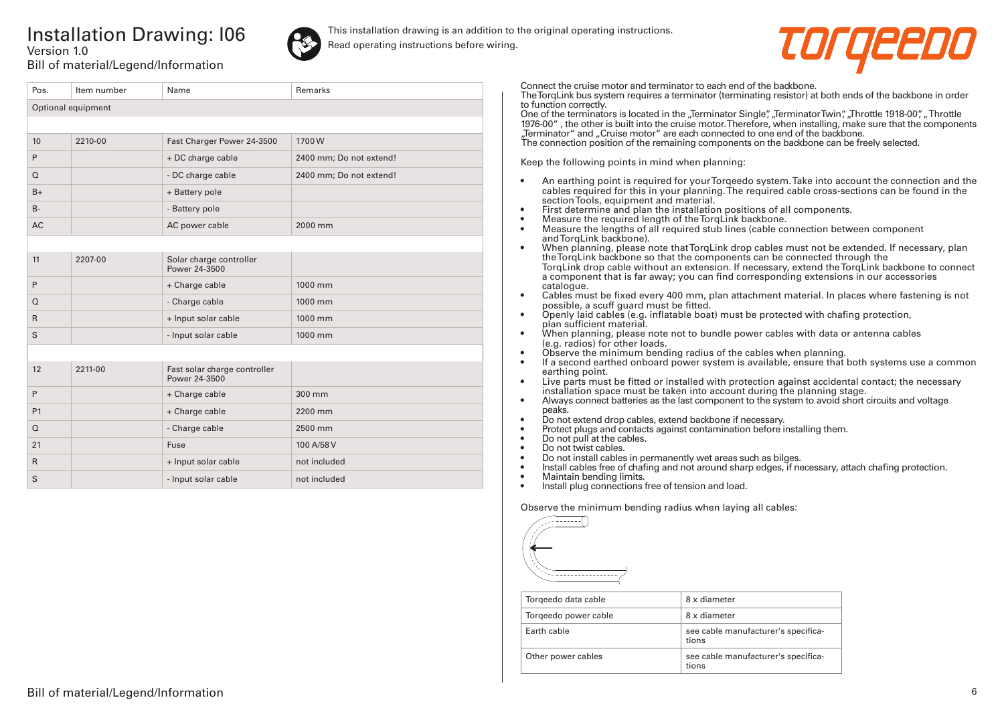## Installation Drawing: I06 Version 1.0



This installation drawing is an addition to the original operating instructions. Read operating instructions before wiring.



Bill of material/Legend/Information

| Pos.               | Item number | Name                                          | <b>Remarks</b>          |  |
|--------------------|-------------|-----------------------------------------------|-------------------------|--|
| Optional equipment |             |                                               |                         |  |
|                    |             |                                               |                         |  |
| 10                 | 2210-00     | Fast Charger Power 24-3500                    | 1700W                   |  |
| P                  |             | + DC charge cable                             | 2400 mm; Do not extend! |  |
| $\Omega$           |             | - DC charge cable                             | 2400 mm; Do not extend! |  |
| $B+$               |             | + Battery pole                                |                         |  |
| $B -$              |             | - Battery pole                                |                         |  |
| <b>AC</b>          |             | AC power cable                                | 2000 mm                 |  |
|                    |             |                                               |                         |  |
| 11                 | 2207-00     | Solar charge controller<br>Power 24-3500      |                         |  |
| P                  |             | + Charge cable                                | 1000 mm                 |  |
| $\Omega$           |             | - Charge cable                                | 1000 mm                 |  |
| $\mathsf{R}$       |             | + Input solar cable                           | 1000 mm                 |  |
| S                  |             | - Input solar cable                           | 1000 mm                 |  |
|                    |             |                                               |                         |  |
| 12                 | 2211-00     | Fast solar charge controller<br>Power 24-3500 |                         |  |
| P                  |             | + Charge cable                                | 300 mm                  |  |
| <b>P1</b>          |             | + Charge cable                                | 2200 mm                 |  |
| $\Omega$           |             | - Charge cable                                | 2500 mm                 |  |
| 21                 |             | Fuse                                          | 100 A/58 V              |  |
| $\mathsf{R}$       |             | + Input solar cable                           | not included            |  |
| S                  |             | - Input solar cable                           | not included            |  |

Connect the cruise motor and terminator to each end of the backbone.

The TorqLink bus system requires a terminator (terminating resistor) at both ends of the backbone in order to function correctly.

One of the terminators is located in the "Terminator Single", "Terminator Twin", "Throttle 1918-00", "Throttle 1976-00" , the other is built into the cruise motor. Therefore, when installing, make sure that the components "Terminator" and "Cruise motor" are each connected to one end of the backbone.

The connection position of the remaining components on the backbone can be freely selected.

Keep the following points in mind when planning:

- An earthing point is required for your Torqeedo system. Take into account the connection and the cables required for this in your planning. The required cable cross-sections can be found in the section Tools, equipment and material.
- First determine and plan the installation positions of all components.
- Measure the required length of the TorqLink backbone.<br>• Measure the lengths of all required stub lines (cable co
- Measure the lengths of all required stub lines (cable connection between component and TorgLink backbone).
- When planning, please note that TorqLink drop cables must not be extended. If necessary, plan the TorqLink backbone so that the components can be connected through the TorqLink drop cable without an extension. If necessary, extend the TorqLink backbone to connect a component that is far away; you can find corresponding extensions in our accessories catalogue.
- Cables must be fixed every 400 mm, plan attachment material. In places where fastening is not possible, a scuff guard must be fitted.
- Openly laid cables (e.g. inflatable boat) must be protected with chafing protection, plan sufficient material.
- When planning, please note not to bundle power cables with data or antenna cables (e.g. radios) for other loads.
- Observe the minimum bending radius of the cables when planning.
- If a second earthed onboard power system is available, ensure that both systems use a common earthing point.
- Live parts must be fitted or installed with protection against accidental contact; the necessary installation space must be taken into account during the planning stage.
- Always connect batteries as the last component to the system to avoid short circuits and voltage peaks.
- Do not extend drop cables, extend backbone if necessary.
- Protect plugs and contacts against contamination before installing them.
- Do not pull at the cables.
- Do not twist cables.
- Do not install cables in permanently wet areas such as bilges.
- Install cables free of chafing and not around sharp edges, if necessary, attach chafing protection.<br>• Maintain bending limits
- Maintain bending limits.
- Install plug connections free of tension and load.

Observe the minimum bending radius when laying all cables:



| Torgeedo data cable  | 8 x diameter                                 |  |
|----------------------|----------------------------------------------|--|
| Torgeedo power cable | 8 x diameter                                 |  |
| Farth cable          | see cable manufacturer's specifica-<br>tions |  |
| Other power cables   | see cable manufacturer's specifica-<br>tions |  |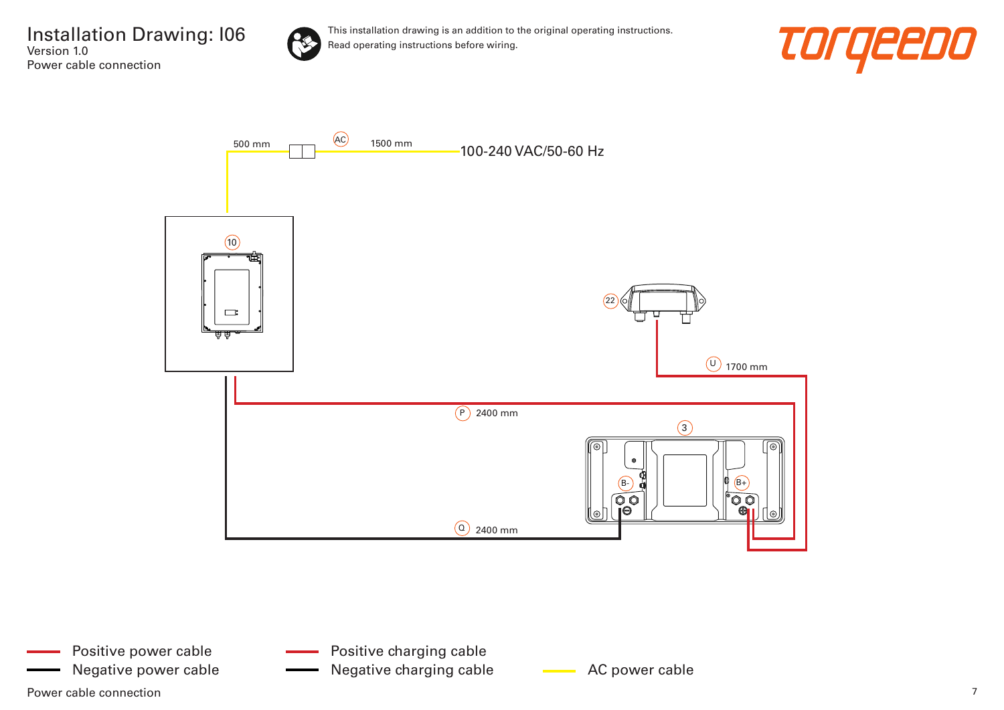

This installation drawing is an addition to the original operating instructions. Read operating instructions before wiring.



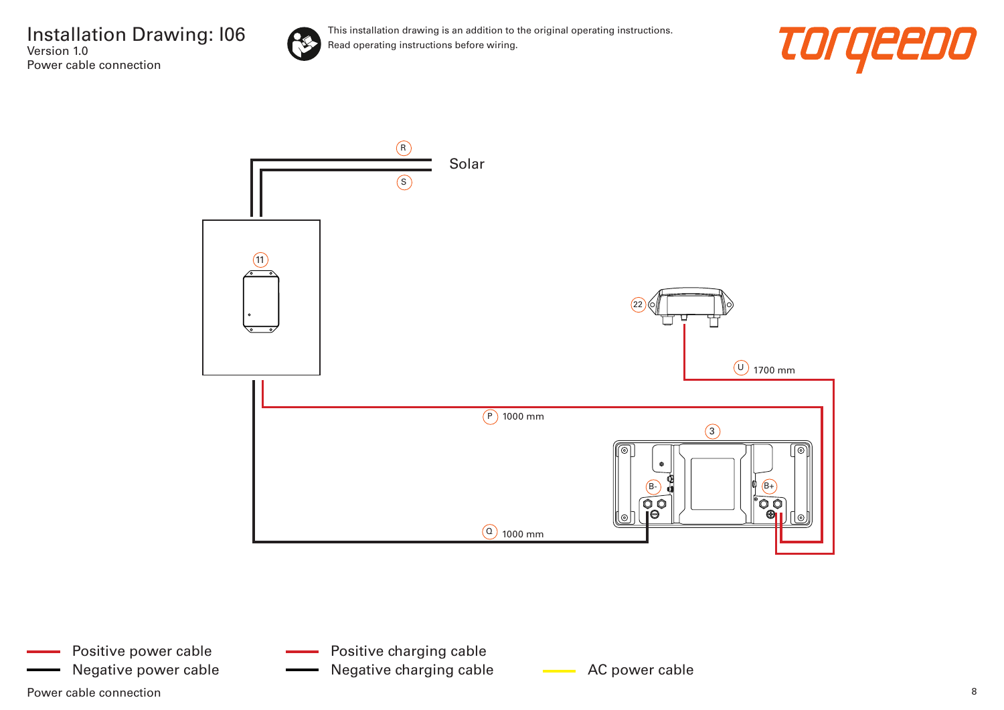

This installation drawing is an addition to the original operating instructions. Read operating instructions before wiring.





Power cable connection and the connection of the set of the set of the set of the set of the set of the set of the set of the set of the set of the set of the set of the set of the set of the set of the set of the set of t Positive power cable Negative power cable **AC AC power cable** Negative charging cable **AC** power cable

Positive charging cable